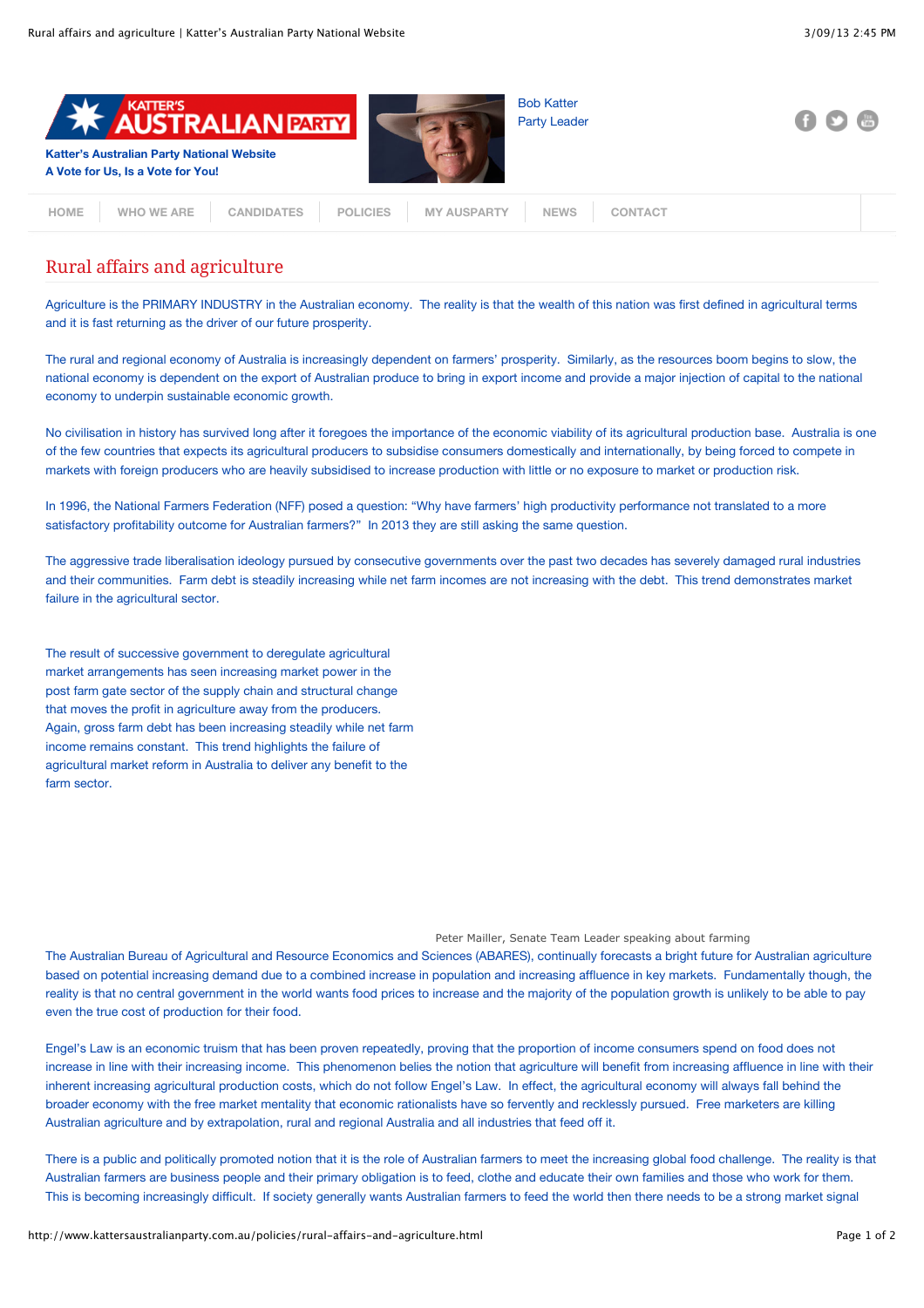

## Rural affairs and agriculture

Agriculture is the PRIMARY INDUSTRY in the Australian economy. The reality is that the wealth of this nation was first defined in agricultural terms and it is fast returning as the driver of our future prosperity.

The rural and regional economy of Australia is increasingly dependent on farmers' prosperity. Similarly, as the resources boom begins to slow, the national economy is dependent on the export of Australian produce to bring in export income and provide a major injection of capital to the national economy to underpin sustainable economic growth.

No civilisation in history has survived long after it foregoes the importance of the economic viability of its agricultural production base. Australia is one of the few countries that expects its agricultural producers to subsidise consumers domestically and internationally, by being forced to compete in markets with foreign producers who are heavily subsidised to increase production with little or no exposure to market or production risk.

In 1996, the National Farmers Federation (NFF) posed a question: "Why have farmers' high productivity performance not translated to a more satisfactory profitability outcome for Australian farmers?" In 2013 they are still asking the same question.

The aggressive trade liberalisation ideology pursued by consecutive governments over the past two decades has severely damaged rural industries and their communities. Farm debt is steadily increasing while net farm incomes are not increasing with the debt. This trend demonstrates market failure in the agricultural sector.

The result of successive government to deregulate agricultural market arrangements has seen increasing market power in the post farm gate sector of the supply chain and structural change that moves the profit in agriculture away from the producers. Again, gross farm debt has been increasing steadily while net farm income remains constant. This trend highlights the failure of agricultural market reform in Australia to deliver any benefit to the farm sector.

## Peter Mailler, Senate Team Leader speaking about farming

The Australian Bureau of Agricultural and Resource Economics and Sciences (ABARES), continually forecasts a bright future for Australian agriculture based on potential increasing demand due to a combined increase in population and increasing affluence in key markets. Fundamentally though, the reality is that no central government in the world wants food prices to increase and the majority of the population growth is unlikely to be able to pay even the true cost of production for their food.

Engel's Law is an economic truism that has been proven repeatedly, proving that the proportion of income consumers spend on food does not increase in line with their increasing income. This phenomenon belies the notion that agriculture will benefit from increasing affluence in line with their inherent increasing agricultural production costs, which do not follow Engel's Law. In effect, the agricultural economy will always fall behind the broader economy with the free market mentality that economic rationalists have so fervently and recklessly pursued. Free marketers are killing Australian agriculture and by extrapolation, rural and regional Australia and all industries that feed off it.

There is a public and politically promoted notion that it is the role of Australian farmers to meet the increasing global food challenge. The reality is that Australian farmers are business people and their primary obligation is to feed, clothe and educate their own families and those who work for them. This is becoming increasingly difficult. If society generally wants Australian farmers to feed the world then there needs to be a strong market signal